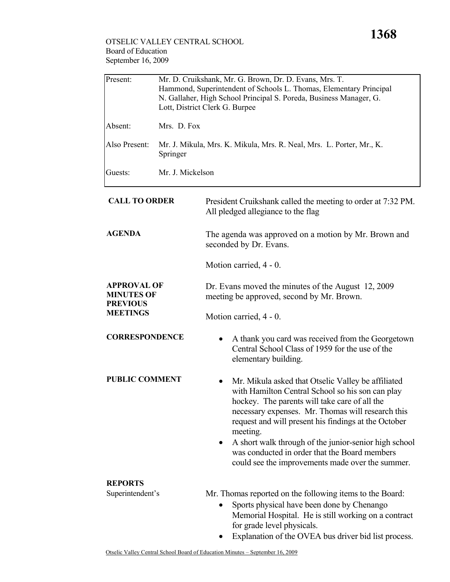| Present:                                                                      | Mr. D. Cruikshank, Mr. G. Brown, Dr. D. Evans, Mrs. T.<br>Hammond, Superintendent of Schools L. Thomas, Elementary Principal<br>N. Gallaher, High School Principal S. Poreda, Business Manager, G.<br>Lott, District Clerk G. Burpee |                                                                                                                                                                                                                                                                                                                                                                                                                                                |  |
|-------------------------------------------------------------------------------|--------------------------------------------------------------------------------------------------------------------------------------------------------------------------------------------------------------------------------------|------------------------------------------------------------------------------------------------------------------------------------------------------------------------------------------------------------------------------------------------------------------------------------------------------------------------------------------------------------------------------------------------------------------------------------------------|--|
| Absent:                                                                       | Mrs. D. Fox                                                                                                                                                                                                                          |                                                                                                                                                                                                                                                                                                                                                                                                                                                |  |
| Also Present:                                                                 | Springer                                                                                                                                                                                                                             | Mr. J. Mikula, Mrs. K. Mikula, Mrs. R. Neal, Mrs. L. Porter, Mr., K.                                                                                                                                                                                                                                                                                                                                                                           |  |
| Guests:                                                                       | Mr. J. Mickelson                                                                                                                                                                                                                     |                                                                                                                                                                                                                                                                                                                                                                                                                                                |  |
| <b>CALL TO ORDER</b>                                                          |                                                                                                                                                                                                                                      | President Cruikshank called the meeting to order at 7:32 PM.<br>All pledged allegiance to the flag                                                                                                                                                                                                                                                                                                                                             |  |
| <b>AGENDA</b>                                                                 |                                                                                                                                                                                                                                      | The agenda was approved on a motion by Mr. Brown and<br>seconded by Dr. Evans.                                                                                                                                                                                                                                                                                                                                                                 |  |
|                                                                               |                                                                                                                                                                                                                                      | Motion carried, 4 - 0.                                                                                                                                                                                                                                                                                                                                                                                                                         |  |
| <b>APPROVAL OF</b><br><b>MINUTES OF</b><br><b>PREVIOUS</b><br><b>MEETINGS</b> |                                                                                                                                                                                                                                      | Dr. Evans moved the minutes of the August 12, 2009<br>meeting be approved, second by Mr. Brown.                                                                                                                                                                                                                                                                                                                                                |  |
|                                                                               |                                                                                                                                                                                                                                      | Motion carried, 4 - 0.                                                                                                                                                                                                                                                                                                                                                                                                                         |  |
| <b>CORRESPONDENCE</b>                                                         |                                                                                                                                                                                                                                      | A thank you card was received from the Georgetown<br>Central School Class of 1959 for the use of the<br>elementary building.                                                                                                                                                                                                                                                                                                                   |  |
| <b>PUBLIC COMMENT</b>                                                         |                                                                                                                                                                                                                                      | Mr. Mikula asked that Otselic Valley be affiliated<br>with Hamilton Central School so his son can play<br>hockey. The parents will take care of all the<br>necessary expenses. Mr. Thomas will research this<br>request and will present his findings at the October<br>meeting.<br>A short walk through of the junior-senior high school<br>was conducted in order that the Board members<br>could see the improvements made over the summer. |  |
| <b>REPORTS</b>                                                                |                                                                                                                                                                                                                                      |                                                                                                                                                                                                                                                                                                                                                                                                                                                |  |
| Superintendent's                                                              |                                                                                                                                                                                                                                      | Mr. Thomas reported on the following items to the Board:<br>Sports physical have been done by Chenango                                                                                                                                                                                                                                                                                                                                         |  |

- Memorial Hospital. He is still working on a contract for grade level physicals.
- Explanation of the OVEA bus driver bid list process.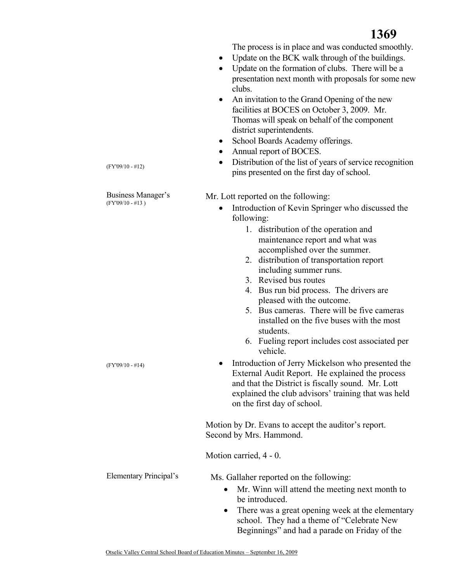The process is in place and was conducted smoothly.

- Update on the BCK walk through of the buildings.
- Update on the formation of clubs. There will be a presentation next month with proposals for some new clubs.
- An invitation to the Grand Opening of the new facilities at BOCES on October 3, 2009. Mr. Thomas will speak on behalf of the component district superintendents.
- School Boards Academy offerings.
- Annual report of BOCES.
- Distribution of the list of years of service recognition pins presented on the first day of school.

Business Manager's (FY'09/10 - #13 )

(FY'09/10 - #12)

(FY'09/10 - #14)

Mr. Lott reported on the following:

- Introduction of Kevin Springer who discussed the following:
	- 1. distribution of the operation and maintenance report and what was accomplished over the summer.
	- 2. distribution of transportation report including summer runs.
	- 3. Revised bus routes
	- 4. Bus run bid process. The drivers are pleased with the outcome.
	- 5. Bus cameras. There will be five cameras installed on the five buses with the most students.
	- 6. Fueling report includes cost associated per vehicle.
- Introduction of Jerry Mickelson who presented the External Audit Report. He explained the process and that the District is fiscally sound. Mr. Lott explained the club advisors' training that was held on the first day of school.

Motion by Dr. Evans to accept the auditor's report. Second by Mrs. Hammond.

Motion carried, 4 - 0.

Elementary Principal's Ms. Gallaher reported on the following:

- Mr. Winn will attend the meeting next month to be introduced.
- There was a great opening week at the elementary school. They had a theme of "Celebrate New Beginnings" and had a parade on Friday of the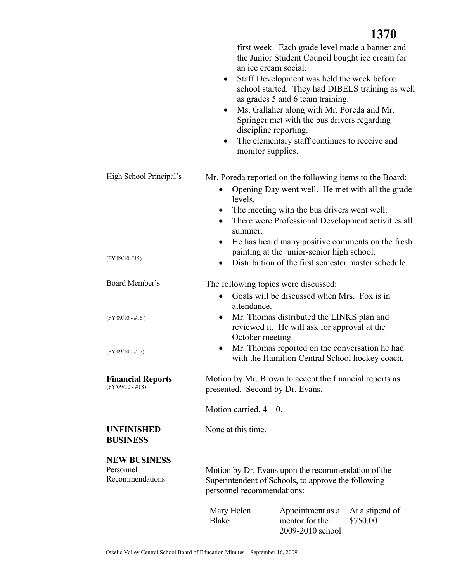|                                                | $\bullet$<br>$\bullet$<br>$\bullet$<br>monitor supplies.                                                                                | first week. Each grade level made a banner and<br>the Junior Student Council bought ice cream for<br>an ice cream social.<br>Staff Development was held the week before<br>as grades 5 and 6 team training.<br>Ms. Gallaher along with Mr. Poreda and Mr.<br>Springer met with the bus drivers regarding<br>discipline reporting.<br>The elementary staff continues to receive and | school started. They had DIBELS training as well |
|------------------------------------------------|-----------------------------------------------------------------------------------------------------------------------------------------|------------------------------------------------------------------------------------------------------------------------------------------------------------------------------------------------------------------------------------------------------------------------------------------------------------------------------------------------------------------------------------|--------------------------------------------------|
| High School Principal's                        | $\bullet$<br>levels.                                                                                                                    | Mr. Poreda reported on the following items to the Board:<br>Opening Day went well. He met with all the grade<br>The meeting with the bus drivers went well.                                                                                                                                                                                                                        |                                                  |
|                                                | $\bullet$<br>summer.                                                                                                                    | There were Professional Development activities all                                                                                                                                                                                                                                                                                                                                 |                                                  |
|                                                | $\bullet$                                                                                                                               | He has heard many positive comments on the fresh                                                                                                                                                                                                                                                                                                                                   |                                                  |
| $(FY'09/10-#15)$                               |                                                                                                                                         | painting at the junior-senior high school.<br>Distribution of the first semester master schedule.                                                                                                                                                                                                                                                                                  |                                                  |
| Board Member's                                 |                                                                                                                                         |                                                                                                                                                                                                                                                                                                                                                                                    |                                                  |
|                                                | The following topics were discussed:<br>$\bullet$                                                                                       | Goals will be discussed when Mrs. Fox is in                                                                                                                                                                                                                                                                                                                                        |                                                  |
| $(FY'09/10 - #16)$                             | attendance.<br>$\bullet$                                                                                                                | Mr. Thomas distributed the LINKS plan and<br>reviewed it. He will ask for approval at the                                                                                                                                                                                                                                                                                          |                                                  |
| $(FY'09/10 - #17)$                             | October meeting.<br>$\bullet$                                                                                                           | Mr. Thomas reported on the conversation he had<br>with the Hamilton Central School hockey coach.                                                                                                                                                                                                                                                                                   |                                                  |
| <b>Financial Reports</b><br>$(FY'09/10 - #18)$ | Motion by Mr. Brown to accept the financial reports as<br>presented. Second by Dr. Evans.                                               |                                                                                                                                                                                                                                                                                                                                                                                    |                                                  |
|                                                | Motion carried, $4-0$ .                                                                                                                 |                                                                                                                                                                                                                                                                                                                                                                                    |                                                  |
| <b>UNFINISHED</b><br><b>BUSINESS</b>           | None at this time.                                                                                                                      |                                                                                                                                                                                                                                                                                                                                                                                    |                                                  |
| <b>NEW BUSINESS</b>                            |                                                                                                                                         |                                                                                                                                                                                                                                                                                                                                                                                    |                                                  |
| Personnel<br>Recommendations                   | Motion by Dr. Evans upon the recommendation of the<br>Superintendent of Schools, to approve the following<br>personnel recommendations: |                                                                                                                                                                                                                                                                                                                                                                                    |                                                  |
|                                                | Mary Helen<br><b>Blake</b>                                                                                                              | Appointment as a<br>mentor for the<br>2009-2010 school                                                                                                                                                                                                                                                                                                                             | At a stipend of<br>\$750.00                      |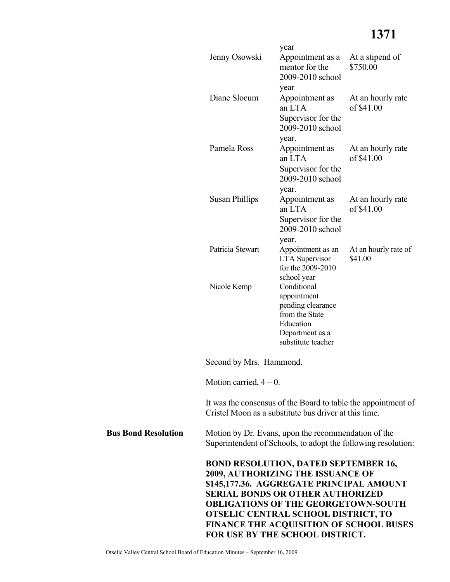## **1371**

|                            | Jenny Osowski                                                                                                        | year<br>Appointment as a<br>mentor for the<br>2009-2010 school                                                                                                                                                                                                                                                                                           | At a stipend of<br>\$750.00     |  |
|----------------------------|----------------------------------------------------------------------------------------------------------------------|----------------------------------------------------------------------------------------------------------------------------------------------------------------------------------------------------------------------------------------------------------------------------------------------------------------------------------------------------------|---------------------------------|--|
|                            | Diane Slocum                                                                                                         | year<br>Appointment as<br>an LTA<br>Supervisor for the<br>2009-2010 school                                                                                                                                                                                                                                                                               | At an hourly rate<br>of \$41.00 |  |
|                            | Pamela Ross                                                                                                          | year.<br>Appointment as<br>an LTA<br>Supervisor for the<br>2009-2010 school                                                                                                                                                                                                                                                                              | At an hourly rate<br>of \$41.00 |  |
|                            | <b>Susan Phillips</b>                                                                                                | year.<br>Appointment as<br>an LTA<br>Supervisor for the<br>2009-2010 school                                                                                                                                                                                                                                                                              | At an hourly rate<br>of \$41.00 |  |
|                            | Patricia Stewart                                                                                                     | year.<br>Appointment as an<br><b>LTA</b> Supervisor<br>for the 2009-2010                                                                                                                                                                                                                                                                                 | At an hourly rate of<br>\$41.00 |  |
|                            | Nicole Kemp                                                                                                          | school year<br>Conditional<br>appointment<br>pending clearance<br>from the State<br>Education<br>Department as a<br>substitute teacher                                                                                                                                                                                                                   |                                 |  |
| Second by Mrs. Hammond.    |                                                                                                                      |                                                                                                                                                                                                                                                                                                                                                          |                                 |  |
|                            | Motion carried, $4-0$ .                                                                                              |                                                                                                                                                                                                                                                                                                                                                          |                                 |  |
|                            |                                                                                                                      | It was the consensus of the Board to table the appointment of<br>Cristel Moon as a substitute bus driver at this time.                                                                                                                                                                                                                                   |                                 |  |
| <b>Bus Bond Resolution</b> | Motion by Dr. Evans, upon the recommendation of the<br>Superintendent of Schools, to adopt the following resolution: |                                                                                                                                                                                                                                                                                                                                                          |                                 |  |
|                            |                                                                                                                      | <b>BOND RESOLUTION, DATED SEPTEMBER 16,</b><br>2009, AUTHORIZING THE ISSUANCE OF<br>\$145,177.36. AGGREGATE PRINCIPAL AMOUNT<br><b>SERIAL BONDS OR OTHER AUTHORIZED</b><br><b>OBLIGATIONS OF THE GEORGETOWN-SOUTH</b><br><b>OTSELIC CENTRAL SCHOOL DISTRICT, TO</b><br><b>FINANCE THE ACQUISITION OF SCHOOL BUSES</b><br>FOR USE BY THE SCHOOL DISTRICT. |                                 |  |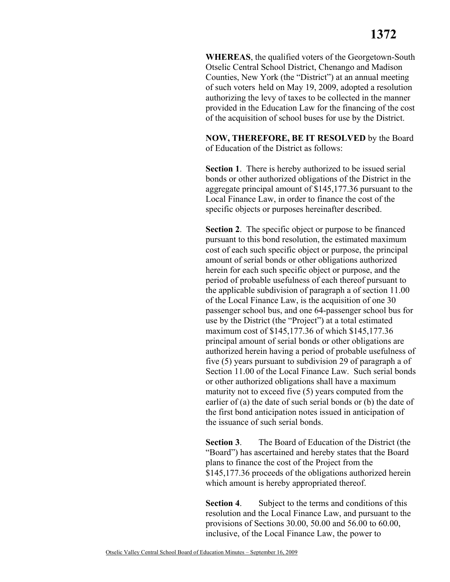**WHEREAS**, the qualified voters of the Georgetown-South Otselic Central School District, Chenango and Madison Counties, New York (the "District") at an annual meeting of such voters held on May 19, 2009, adopted a resolution authorizing the levy of taxes to be collected in the manner provided in the Education Law for the financing of the cost of the acquisition of school buses for use by the District.

**NOW, THEREFORE, BE IT RESOLVED** by the Board of Education of the District as follows:

**Section 1**. There is hereby authorized to be issued serial bonds or other authorized obligations of the District in the aggregate principal amount of \$145,177.36 pursuant to the Local Finance Law, in order to finance the cost of the specific objects or purposes hereinafter described.

**Section 2**. The specific object or purpose to be financed pursuant to this bond resolution, the estimated maximum cost of each such specific object or purpose, the principal amount of serial bonds or other obligations authorized herein for each such specific object or purpose, and the period of probable usefulness of each thereof pursuant to the applicable subdivision of paragraph a of section 11.00 of the Local Finance Law, is the acquisition of one 30 passenger school bus, and one 64-passenger school bus for use by the District (the "Project") at a total estimated maximum cost of \$145,177.36 of which \$145,177.36 principal amount of serial bonds or other obligations are authorized herein having a period of probable usefulness of five (5) years pursuant to subdivision 29 of paragraph a of Section 11.00 of the Local Finance Law. Such serial bonds or other authorized obligations shall have a maximum maturity not to exceed five (5) years computed from the earlier of (a) the date of such serial bonds or (b) the date of the first bond anticipation notes issued in anticipation of the issuance of such serial bonds.

**Section 3**. The Board of Education of the District (the "Board") has ascertained and hereby states that the Board plans to finance the cost of the Project from the \$145,177.36 proceeds of the obligations authorized herein which amount is hereby appropriated thereof.

**Section 4.** Subject to the terms and conditions of this resolution and the Local Finance Law, and pursuant to the provisions of Sections 30.00, 50.00 and 56.00 to 60.00, inclusive, of the Local Finance Law, the power to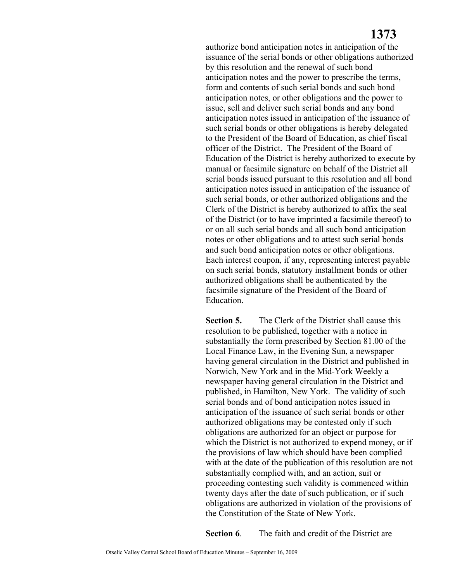## **1373**

authorize bond anticipation notes in anticipation of the issuance of the serial bonds or other obligations authorized by this resolution and the renewal of such bond anticipation notes and the power to prescribe the terms, form and contents of such serial bonds and such bond anticipation notes, or other obligations and the power to issue, sell and deliver such serial bonds and any bond anticipation notes issued in anticipation of the issuance of such serial bonds or other obligations is hereby delegated to the President of the Board of Education, as chief fiscal officer of the District. The President of the Board of Education of the District is hereby authorized to execute by manual or facsimile signature on behalf of the District all serial bonds issued pursuant to this resolution and all bond anticipation notes issued in anticipation of the issuance of such serial bonds, or other authorized obligations and the Clerk of the District is hereby authorized to affix the seal of the District (or to have imprinted a facsimile thereof) to or on all such serial bonds and all such bond anticipation notes or other obligations and to attest such serial bonds and such bond anticipation notes or other obligations. Each interest coupon, if any, representing interest payable on such serial bonds, statutory installment bonds or other authorized obligations shall be authenticated by the facsimile signature of the President of the Board of Education.

**Section 5.** The Clerk of the District shall cause this resolution to be published, together with a notice in substantially the form prescribed by Section 81.00 of the Local Finance Law, in the Evening Sun, a newspaper having general circulation in the District and published in Norwich, New York and in the Mid-York Weekly a newspaper having general circulation in the District and published, in Hamilton, New York. The validity of such serial bonds and of bond anticipation notes issued in anticipation of the issuance of such serial bonds or other authorized obligations may be contested only if such obligations are authorized for an object or purpose for which the District is not authorized to expend money, or if the provisions of law which should have been complied with at the date of the publication of this resolution are not substantially complied with, and an action, suit or proceeding contesting such validity is commenced within twenty days after the date of such publication, or if such obligations are authorized in violation of the provisions of the Constitution of the State of New York.

**Section 6.** The faith and credit of the District are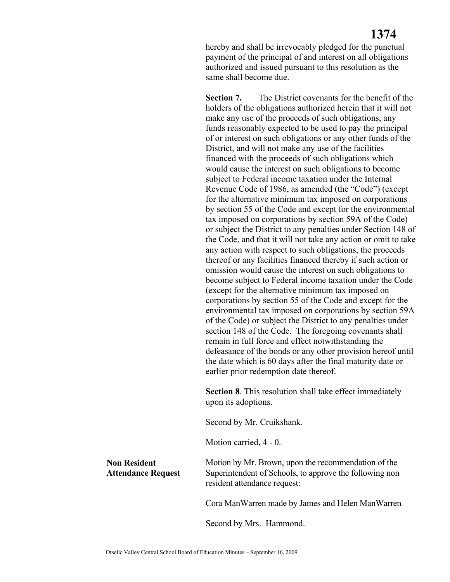hereby and shall be irrevocably pledged for the punctual payment of the principal of and interest on all obligations authorized and issued pursuant to this resolution as the same shall become due.

**Section 7.** The District covenants for the benefit of the holders of the obligations authorized herein that it will not make any use of the proceeds of such obligations, any funds reasonably expected to be used to pay the principal of or interest on such obligations or any other funds of the District, and will not make any use of the facilities financed with the proceeds of such obligations which would cause the interest on such obligations to become subject to Federal income taxation under the Internal Revenue Code of 1986, as amended (the "Code") (except for the alternative minimum tax imposed on corporations by section 55 of the Code and except for the environmental tax imposed on corporations by section 59A of the Code) or subject the District to any penalties under Section 148 of the Code, and that it will not take any action or omit to take any action with respect to such obligations, the proceeds thereof or any facilities financed thereby if such action or omission would cause the interest on such obligations to become subject to Federal income taxation under the Code (except for the alternative minimum tax imposed on corporations by section 55 of the Code and except for the environmental tax imposed on corporations by section 59A of the Code) or subject the District to any penalties under section 148 of the Code. The foregoing covenants shall remain in full force and effect notwithstanding the defeasance of the bonds or any other provision hereof until the date which is 60 days after the final maturity date or earlier prior redemption date thereof.

**Section 8**. This resolution shall take effect immediately upon its adoptions.

Second by Mr. Cruikshank.

Motion carried, 4 - 0.

Motion by Mr. Brown, upon the recommendation of the Superintendent of Schools, to approve the following non resident attendance request:

Cora ManWarren made by James and Helen ManWarren

Second by Mrs. Hammond.

**Non Resident** 

**Attendance Request**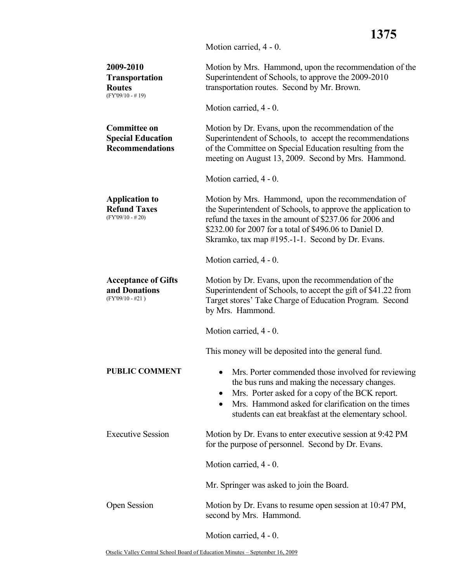Motion carried, 4 - 0.

| 2009-2010<br><b>Transportation</b><br><b>Routes</b><br>$(FY'09/10 - #19)$ | Motion by Mrs. Hammond, upon the recommendation of the<br>Superintendent of Schools, to approve the 2009-2010<br>transportation routes. Second by Mr. Brown.                                                                                                                                |
|---------------------------------------------------------------------------|---------------------------------------------------------------------------------------------------------------------------------------------------------------------------------------------------------------------------------------------------------------------------------------------|
|                                                                           | Motion carried, 4 - 0.                                                                                                                                                                                                                                                                      |
| <b>Committee on</b><br><b>Special Education</b><br><b>Recommendations</b> | Motion by Dr. Evans, upon the recommendation of the<br>Superintendent of Schools, to accept the recommendations<br>of the Committee on Special Education resulting from the<br>meeting on August 13, 2009. Second by Mrs. Hammond.                                                          |
|                                                                           | Motion carried, 4 - 0.                                                                                                                                                                                                                                                                      |
| <b>Application to</b><br><b>Refund Taxes</b><br>$(FY'09/10 - #20)$        | Motion by Mrs. Hammond, upon the recommendation of<br>the Superintendent of Schools, to approve the application to<br>refund the taxes in the amount of \$237.06 for 2006 and<br>\$232.00 for 2007 for a total of \$496.06 to Daniel D.<br>Skramko, tax map #195.-1-1. Second by Dr. Evans. |
|                                                                           | Motion carried, 4 - 0.                                                                                                                                                                                                                                                                      |
| <b>Acceptance of Gifts</b><br>and Donations<br>$(FY'09/10 - #21)$         | Motion by Dr. Evans, upon the recommendation of the<br>Superintendent of Schools, to accept the gift of \$41.22 from<br>Target stores' Take Charge of Education Program. Second<br>by Mrs. Hammond.                                                                                         |
|                                                                           | Motion carried, 4 - 0.                                                                                                                                                                                                                                                                      |
|                                                                           | This money will be deposited into the general fund.                                                                                                                                                                                                                                         |
| <b>PUBLIC COMMENT</b>                                                     | Mrs. Porter commended those involved for reviewing<br>the bus runs and making the necessary changes.<br>Mrs. Porter asked for a copy of the BCK report.<br>Mrs. Hammond asked for clarification on the times<br>students can eat breakfast at the elementary school.                        |
| <b>Executive Session</b>                                                  | Motion by Dr. Evans to enter executive session at 9:42 PM<br>for the purpose of personnel. Second by Dr. Evans.                                                                                                                                                                             |
|                                                                           | Motion carried, 4 - 0.                                                                                                                                                                                                                                                                      |
|                                                                           | Mr. Springer was asked to join the Board.                                                                                                                                                                                                                                                   |
| Open Session                                                              | Motion by Dr. Evans to resume open session at 10:47 PM,<br>second by Mrs. Hammond.                                                                                                                                                                                                          |
|                                                                           | Motion carried, 4 - 0.                                                                                                                                                                                                                                                                      |